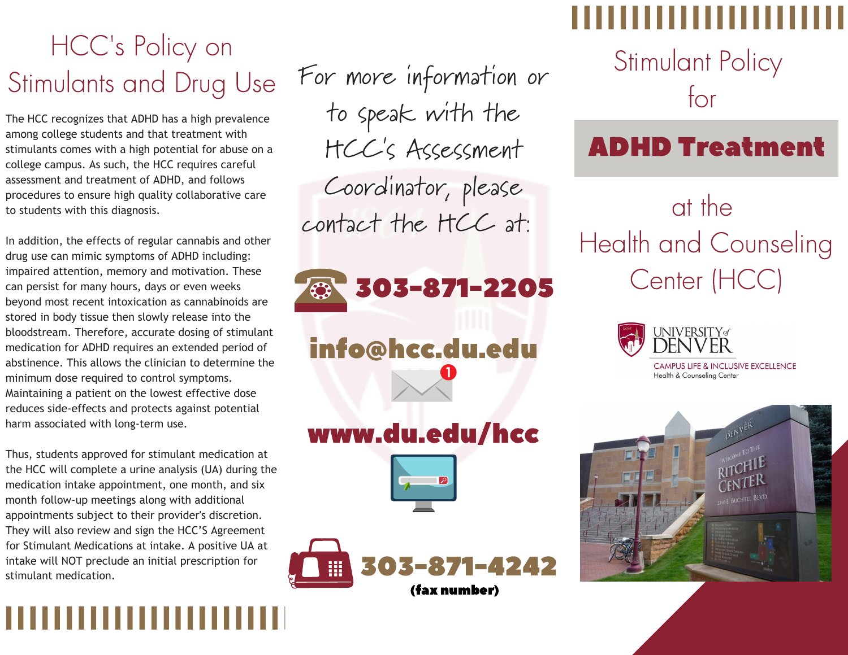# HCC' s Policy on Stimulants and Drug Use

The HCC recognizes that ADHD has a high prevalence among college students and that treatment with stimulants comes with a high potential for abuse on a college campus. As such, the HCC requires careful assessment and treatment of ADHD, and follows procedures to ensure high quality collaborative care to students with this diagnosis.

In addition, the effects of regular cannabis and other drug use can mimic symptoms of ADHD including: impaired attention, memory and motivation. These can persist for many hours, days or even weeks beyond most recent intoxication as cannabinoids are stored in body tissue then slowly release into the bloodstream. Therefore, accurate dosing of stimulant medication for ADHD requires an extended period of abstinence. This allows the clinician to determine the minimum dose required to control symptoms. Maintaining a patient on the lowest effective dose reduces side-effects and protects against potential harm associated with long-term use.

Thus, students approved for stimulant medication at the HCC will complete a urine analysis (UA) during the medication intake appointment, one month, and six month follow-up meetings along with additional appointments subject to their provider's discretion. They will also review and sign the HCC'S Agreement for Stimulant Medications at intake. A positive UA at intake will NOT preclude an initial prescription for stimulant medication.

For more information or to speak with the HCC's Assessment Coordinator, please contact the HCC at:

303-871-2205

info@hcc.du.edu

## www.du.edu/hcc





Stimulant Policy for

# ADHD Treatment

at the Health and Counseling Center (HCC)